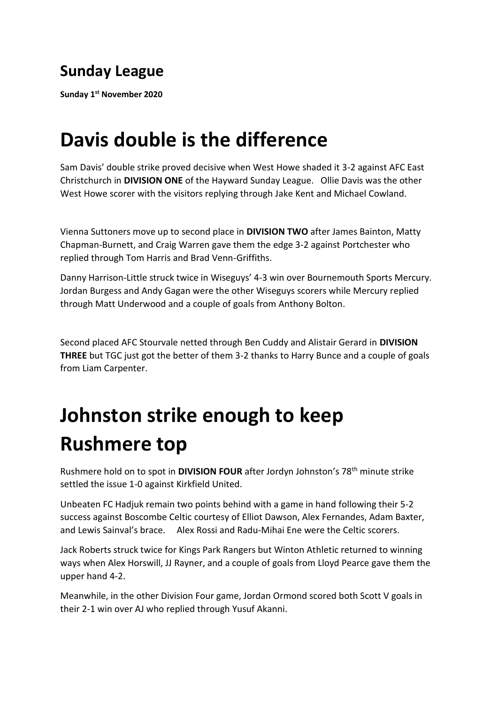## **Sunday League**

**Sunday 1st November 2020** 

## **Davis double is the difference**

Sam Davis' double strike proved decisive when West Howe shaded it 3-2 against AFC East Christchurch in **DIVISION ONE** of the Hayward Sunday League. Ollie Davis was the other West Howe scorer with the visitors replying through Jake Kent and Michael Cowland.

Vienna Suttoners move up to second place in **DIVISION TWO** after James Bainton, Matty Chapman-Burnett, and Craig Warren gave them the edge 3-2 against Portchester who replied through Tom Harris and Brad Venn-Griffiths.

Danny Harrison-Little struck twice in Wiseguys' 4-3 win over Bournemouth Sports Mercury. Jordan Burgess and Andy Gagan were the other Wiseguys scorers while Mercury replied through Matt Underwood and a couple of goals from Anthony Bolton.

Second placed AFC Stourvale netted through Ben Cuddy and Alistair Gerard in **DIVISION THREE** but TGC just got the better of them 3-2 thanks to Harry Bunce and a couple of goals from Liam Carpenter.

## **Johnston strike enough to keep Rushmere top**

Rushmere hold on to spot in **DIVISION FOUR** after Jordyn Johnston's 78th minute strike settled the issue 1-0 against Kirkfield United.

Unbeaten FC Hadjuk remain two points behind with a game in hand following their 5-2 success against Boscombe Celtic courtesy of Elliot Dawson, Alex Fernandes, Adam Baxter, and Lewis Sainval's brace. Alex Rossi and Radu-Mihai Ene were the Celtic scorers.

Jack Roberts struck twice for Kings Park Rangers but Winton Athletic returned to winning ways when Alex Horswill, JJ Rayner, and a couple of goals from Lloyd Pearce gave them the upper hand 4-2.

Meanwhile, in the other Division Four game, Jordan Ormond scored both Scott V goals in their 2-1 win over AJ who replied through Yusuf Akanni.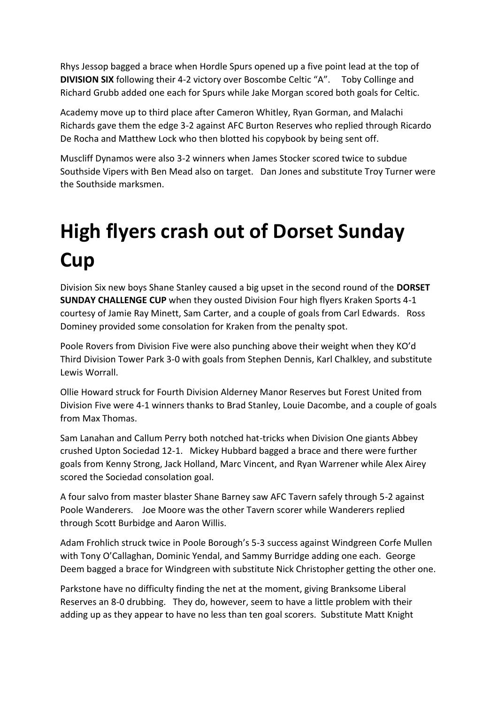Rhys Jessop bagged a brace when Hordle Spurs opened up a five point lead at the top of **DIVISION SIX** following their 4-2 victory over Boscombe Celtic "A". Toby Collinge and Richard Grubb added one each for Spurs while Jake Morgan scored both goals for Celtic.

Academy move up to third place after Cameron Whitley, Ryan Gorman, and Malachi Richards gave them the edge 3-2 against AFC Burton Reserves who replied through Ricardo De Rocha and Matthew Lock who then blotted his copybook by being sent off.

Muscliff Dynamos were also 3-2 winners when James Stocker scored twice to subdue Southside Vipers with Ben Mead also on target. Dan Jones and substitute Troy Turner were the Southside marksmen.

## **High flyers crash out of Dorset Sunday Cup**

Division Six new boys Shane Stanley caused a big upset in the second round of the **DORSET SUNDAY CHALLENGE CUP** when they ousted Division Four high flyers Kraken Sports 4-1 courtesy of Jamie Ray Minett, Sam Carter, and a couple of goals from Carl Edwards. Ross Dominey provided some consolation for Kraken from the penalty spot.

Poole Rovers from Division Five were also punching above their weight when they KO'd Third Division Tower Park 3-0 with goals from Stephen Dennis, Karl Chalkley, and substitute Lewis Worrall.

Ollie Howard struck for Fourth Division Alderney Manor Reserves but Forest United from Division Five were 4-1 winners thanks to Brad Stanley, Louie Dacombe, and a couple of goals from Max Thomas.

Sam Lanahan and Callum Perry both notched hat-tricks when Division One giants Abbey crushed Upton Sociedad 12-1. Mickey Hubbard bagged a brace and there were further goals from Kenny Strong, Jack Holland, Marc Vincent, and Ryan Warrener while Alex Airey scored the Sociedad consolation goal.

A four salvo from master blaster Shane Barney saw AFC Tavern safely through 5-2 against Poole Wanderers. Joe Moore was the other Tavern scorer while Wanderers replied through Scott Burbidge and Aaron Willis.

Adam Frohlich struck twice in Poole Borough's 5-3 success against Windgreen Corfe Mullen with Tony O'Callaghan, Dominic Yendal, and Sammy Burridge adding one each. George Deem bagged a brace for Windgreen with substitute Nick Christopher getting the other one.

Parkstone have no difficulty finding the net at the moment, giving Branksome Liberal Reserves an 8-0 drubbing. They do, however, seem to have a little problem with their adding up as they appear to have no less than ten goal scorers. Substitute Matt Knight